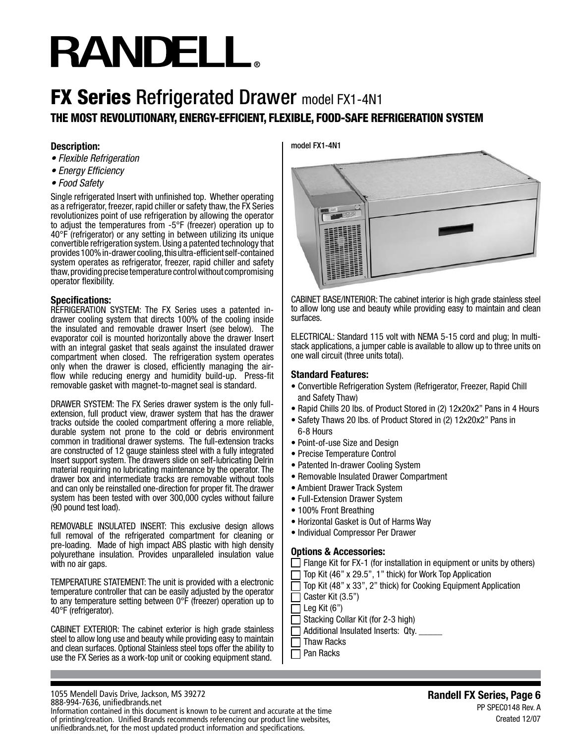# **RANDELL**

# THE MOST REVOLUTIONARY, ENERGY-EFFICIENT, FLEXIBLE, FOOD-SAFE REFRIGERATION SYSTEM **FX Series Refrigerated Drawer model FX1-4N1**

# **Description:**

- *Flexible Refrigeration*
- *Energy Efficiency*
- *Food Safety*

Single refrigerated Insert with unfinished top. Whether operating as a refrigerator, freezer, rapid chiller or safety thaw, the FX Series revolutionizes point of use refrigeration by allowing the operator to adjust the temperatures from -5°F (freezer) operation up to 40°F (refrigerator) or any setting in between utilizing its unique convertible refrigeration system. Using a patented technology that provides 100% in-drawer cooling, this ultra-efficient self-contained system operates as refrigerator, freezer, rapid chiller and safety thaw, providing precise temperature control without compromising operator flexibility.

## **Specifications:**

REFRIGERATION SYSTEM: The FX Series uses a patented indrawer cooling system that directs 100% of the cooling inside the insulated and removable drawer Insert (see below). The evaporator coil is mounted horizontally above the drawer Insert with an integral gasket that seals against the insulated drawer compartment when closed. The refrigeration system operates only when the drawer is closed, efficiently managing the airflow while reducing energy and humidity build-up. Press-fit removable gasket with magnet-to-magnet seal is standard.

DRAWER SYSTEM: The FX Series drawer system is the only fullextension, full product view, drawer system that has the drawer tracks outside the cooled compartment offering a more reliable, durable system not prone to the cold or debris environment common in traditional drawer systems. The full-extension tracks are constructed of 12 gauge stainless steel with a fully integrated Insert support system. The drawers slide on self-lubricating Delrin material requiring no lubricating maintenance by the operator. The drawer box and intermediate tracks are removable without tools and can only be reinstalled one-direction for proper fit. The drawer system has been tested with over 300,000 cycles without failure (90 pound test load).

REMOVABLE INSULATED INSERT: This exclusive design allows full removal of the refrigerated compartment for cleaning or pre-loading. Made of high impact ABS plastic with high density polyurethane insulation. Provides unparalleled insulation value with no air gaps.

TEMPERATURE STATEMENT: The unit is provided with a electronic temperature controller that can be easily adjusted by the operator to any temperature setting between 0°F (freezer) operation up to 40°F (refrigerator).

CABINET EXTERIOR: The cabinet exterior is high grade stainless steel to allow long use and beauty while providing easy to maintain and clean surfaces. Optional Stainless steel tops offer the ability to use the FX Series as a work-top unit or cooking equipment stand.

#### 1055 Mendell Davis Drive, Jackson, MS 39272 888-994-7636, unifiedbrands.net

Information contained in this document is known to be current and accurate at the time of printing/creation. Unified Brands recommends referencing our product line websites, unifiedbrands.net, for the most updated product information and specifications.

model FX1-4N1



CABINET BASE/INTERIOR: The cabinet interior is high grade stainless steel to allow long use and beauty while providing easy to maintain and clean surfaces.

ELECTRICAL: Standard 115 volt with NEMA 5-15 cord and plug; In multistack applications, a jumper cable is available to allow up to three units on one wall circuit (three units total).

## **Standard Features:**

- Convertible Refrigeration System (Refrigerator, Freezer, Rapid Chill and Safety Thaw)
- Rapid Chills 20 lbs. of Product Stored in (2) 12x20x2" Pans in 4 Hours
- Safety Thaws 20 lbs. of Product Stored in (2) 12x20x2" Pans in 6-8 Hours
- Point-of-use Size and Design
- Precise Temperature Control
- Patented In-drawer Cooling System
- Removable Insulated Drawer Compartment
- Ambient Drawer Track System
- Full-Extension Drawer System
- 100% Front Breathing
- Horizontal Gasket is Out of Harms Way
- Individual Compressor Per Drawer

# **Options & Accessories:**

- $\Box$  Flange Kit for FX-1 (for installation in equipment or units by others)
- Top Kit (46" x 29.5", 1" thick) for Work Top Application
- $\Box$ Top Kit (48" x 33", 2" thick) for Cooking Equipment Application
- $\Box$ Caster Kit (3.5")
- П Leg Kit (6")
- Stacking Collar Kit (for 2-3 high)
- Additional Insulated Inserts: Qty.  $\Box$
- Thaw Racks
- Pan Racks